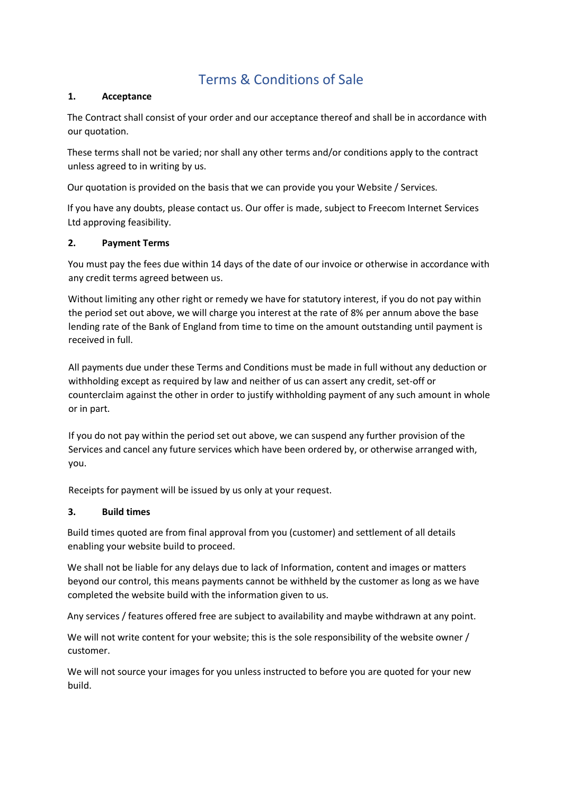# Terms & Conditions of Sale

## **1. Acceptance**

The Contract shall consist of your order and our acceptance thereof and shall be in accordance with our quotation.

These terms shall not be varied; nor shall any other terms and/or conditions apply to the contract unless agreed to in writing by us.

Our quotation is provided on the basis that we can provide you your Website / Services.

If you have any doubts, please contact us. Our offer is made, subject to Freecom Internet Services Ltd approving feasibility.

## **2. Payment Terms**

You must pay the fees due within 14 days of the date of our invoice or otherwise in accordance with any credit terms agreed between us.

Without limiting any other right or remedy we have for statutory interest, if you do not pay within the period set out above, we will charge you interest at the rate of 8% per annum above the base lending rate of the Bank of England from time to time on the amount outstanding until payment is received in full.

All payments due under these Terms and Conditions must be made in full without any deduction or withholding except as required by law and neither of us can assert any credit, set-off or counterclaim against the other in order to justify withholding payment of any such amount in whole or in part.

If you do not pay within the period set out above, we can suspend any further provision of the Services and cancel any future services which have been ordered by, or otherwise arranged with, you.

Receipts for payment will be issued by us only at your request.

## **3. Build times**

Build times quoted are from final approval from you (customer) and settlement of all details enabling your website build to proceed.

We shall not be liable for any delays due to lack of Information, content and images or matters beyond our control, this means payments cannot be withheld by the customer as long as we have completed the website build with the information given to us.

Any services / features offered free are subject to availability and maybe withdrawn at any point.

We will not write content for your website; this is the sole responsibility of the website owner / customer.

We will not source your images for you unless instructed to before you are quoted for your new build.